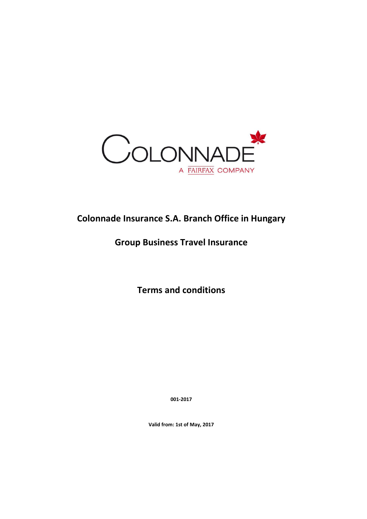

# **Colonnade Insurance S.A. Branch Office in Hungary**

# **Group Business Travel Insurance**

**Terms and conditions**

**001-2017**

**Valid from: 1st of May, 2017**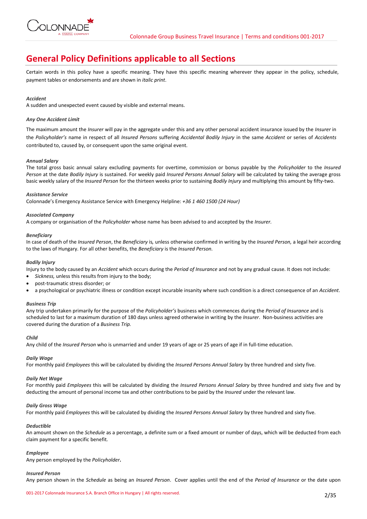

# **General Policy Definitions applicable to all Sections**

Certain words in this policy have a specific meaning. They have this specific meaning wherever they appear in the policy, schedule, payment tables or endorsements and are shown in *italic print*.

# *Accident*

A sudden and unexpected event caused by visible and external means.

## *Any One Accident Limit*

The maximum amount the *Insurer* will pay in the aggregate under this and any other personal accident insurance issued by the *Insurer* in the *Policyholder's* name in respect of all *Insured Persons* suffering *Accidental Bodily Injury* in the same *Accident* or series of *Accidents*  contributed to, caused by, or consequent upon the same original event.

# *Annual Salary*

The total gross basic annual salary excluding payments for overtime, commission or bonus payable by the *Policyholder* to the *Insured Person* at the date *Bodily Injury* is sustained. For weekly paid *Insured Persons Annual Salary* will be calculated by taking the average gross basic weekly salary of the *Insured Person* for the thirteen weeks prior to sustaining *Bodily Injury* and multiplying this amount by fifty-two.

## *Assistance Service*

Colonnade's Emergency Assistance Service with Emergency Helpline: *+36 1 460 1500 (24 Hour)*

## *Associated Company*

A company or organisation of the *Policyholder* whose name has been advised to and accepted by the *Insurer.*

## *Beneficiary*

In case of death of the *Insured Person*, the *Beneficiary* is*,* unless otherwise confirmed in writing by the *Insured Person,* a legal heir according to the laws of Hungary. For all other benefits, the *Beneficiary* is the *Insured Person.*

## *Bodily Injury*

Injury to the body caused by an *Accident* which occurs during the *Period of Insurance* and not by any gradual cause. It does not include:

- *Sickness,* unless this results from injury to the body;
- post-traumatic stress disorder; or
- a psychological or psychiatric illness or condition except incurable insanity where such condition is a direct consequence of an *Accident*.

#### *Business Trip*

Any trip undertaken primarily for the purpose of the *Policyholder's* business which commences during the *Period of Insurance* and is scheduled to last for a maximum duration of 180 days unless agreed otherwise in writing by the *Insurer*. Non-business activities are covered during the duration of a *Business Trip.*

#### *Child*

Any child of the *Insured Person* who is unmarried and under 19 years of age or 25 years of age if in full-time education.

# *Daily Wage*

For monthly paid *Employees* this will be calculated by dividing the *Insured Persons Annual Salary* by three hundred and sixty five.

#### *Daily Net Wage*

For monthly paid *Employees* this will be calculated by dividing the *Insured Persons Annual Salary* by three hundred and sixty five and by deducting the amount of personal income tax and other contributions to be paid by the *Insured* under the relevant law.

#### *Daily Gross Wage*

For monthly paid *Employees* this will be calculated by dividing the *Insured Persons Annual Salary* by three hundred and sixty five.

# *Deductible*

An amount shown on the *Schedule* as a percentage, a definite sum or a fixed amount or number of days, which will be deducted from each claim payment for a specific benefit*.*

#### *Employee*

Any person employed by the *Policyholder***.**

#### *Insured Person*

Any person shown in the *Schedule* as being an *Insured Person*. Cover applies until the end of the *Period of Insurance* or the date upon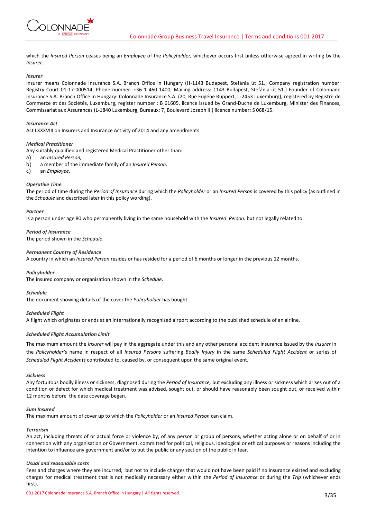

which the *Insured Person* ceases being an *Employee* of the *Policyholder,* whichever occurs first unless otherwise agreed in writing by the *Insurer.*

## *Insurer*

Insurer means Colonnade Insurance S.A. Branch Office in Hungary (H-1143 Budapest, Stefánia út 51.; Company registration number: Registry Court 01-17-000514; Phone number: +36 1 460 1400; Mailing address: 1143 Budapest, Stefánia út 51.) Founder of Colonnade Insurance S.A. Branch Office in Hungary: Colonnade Insurance S.A. (20, Rue Eugéne Ruppert, L-2453 Luxemburg), registered by Registre de Commerce et des Sociétés, Luxemburg, register number : B 61605, licence issued by Grand-Duche de Luxemburg, Minister des Finances, Commissariat aux Assurances (L-1840 Luxemburg, Bureaux: 7, Boulevard Joseph II.) licence number: S 068/15.

## *Insurance Act*

Act LXXXVIII on Insurers and Insurance Activity of 2014 and any amendments

## *Medical Practitioner*

Any suitably qualified and registered Medical Practitioner other than:

- a) an *Insured Person,*
- b) a member of the immediate family of an *Insured Person,*
- c) an *Employee.*

## *Operative Time*

The period of time during the *Period of Insurance* during which the *Policyholder* or an *Insured Person* is covered by this policy (as outlined in the *Schedule* and described later in this policy wording).

#### *Partner*

Is a person under age 80 who permanently living in the same household with the *Insured Person.* but not legally related to.

## *Period of Insurance*

The period shown in the *Schedule*.

## *Permanent Country of Residence*

A country in which an *Insured Person* resides or has resided for a period of 6 months or longer in the previous 12 months.

#### *Policyholder*

The insured company or organisation shown in the *Schedule*.

#### *Schedule*

The document showing details of the cover the *Policyholder* has bought.

# *Scheduled Flight*

A flight which originates or ends at an internationally recognised airport according to the published schedule of an airline.

# *Scheduled Flight Accumulation Limit*

The maximum amount the *Insurer* will pay in the aggregate under this and any other personal accident insurance issued by the *Insurer* in the *Policyholder'*s name in respect of all *Insured Persons* suffering *Bodily Injury* in the same *Scheduled Flight Accident* or series of *Scheduled Flight Accidents* contributed to, caused by, or consequent upon the same original event.

#### *Sickness*

Any fortuitous bodily illness or sickness, diagnosed during the *Period of Insurance,* but excluding any illness or sickness which arises out of a condition or defect for which medical treatment was advised, sought out, or should have reasonably been sought out, or received within 12 months before the date coverage began.

#### *Sum Insured*

The maximum amount of cover up to which the *Policyholder* or an *Insured Person* can claim.

# *Terrorism*

An act, including threats of or actual force or violence by, of any person or group of persons, whether acting alone or on behalf of or in connection with any organisation or Government, committed for political, religious, ideological or ethical purposes or reasons including the intention to influence any government and/or to put the public or any section of the public in fear.

#### *Usual and reasonable costs*

Fees and charges where they are incurred, but not to include charges that would not have been paid if no insurance existed and excluding charges for medical treatment that is not medically necessary either within the *Period of Insurance* or during the *Trip* (whichever ends first).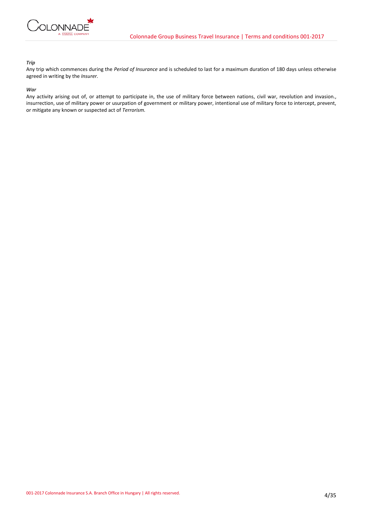

# *Trip*

Any trip which commences during the *Period of Insurance* and is scheduled to last for a maximum duration of 180 days unless otherwise agreed in writing by the *Insurer.*

#### *War*

Any activity arising out of, or attempt to participate in, the use of military force between nations, civil war, revolution and invasion., insurrection, use of military power or usurpation of government or military power, intentional use of military force to intercept, prevent, or mitigate any known or suspected act of *Terrorism.*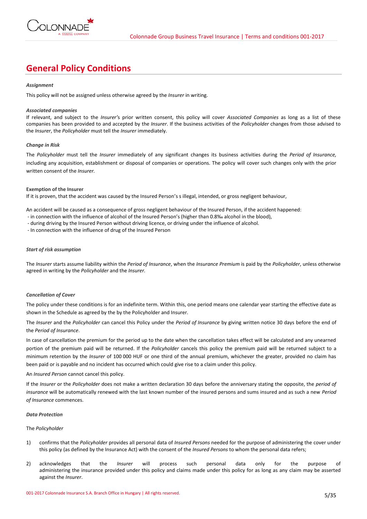

# **General Policy Conditions**

## *Assignment*

This policy will not be assigned unless otherwise agreed by the *Insurer* in writing.

## *Associated companies*

If relevant, and subject to the *Insurer'*s prior written consent, this policy will cover *Associated Companies* as long as a list of these companies has been provided to and accepted by the *Insurer*. If the business activities of the *Policyholder* changes from those advised to the *Insurer*, the *Policyholder* must tell the *Insurer* immediately.

## *Change in Risk*

The *Policyholder* must tell the *Insurer* immediately of any significant changes its business activities during the *Period of Insurance,* including any acquisition, establishment or disposal of companies or operations. The policy will cover such changes only with the prior written consent of the *Insurer.*

#### **Exemption of the Insurer**

If it is proven, that the accident was caused by the Insured Person's s illegal, intended, or gross negligent behaviour,

An accident will be caused as a consequence of gross negligent behaviour of the Insured Person, if the accident happened:

- in connection with the influence of alcohol of the Insured Person's (higher than 0.8‰ alcohol in the blood),
- during driving by the Insured Person without driving licence, or driving under the influence of alcohol.

- In connection with the influence of drug of the Insured Person

## *Start of risk assumption*

The *Insurer* starts assume liability within the *Period of Insurance*, when the *Insurance Premium* is paid by the *Policyholder*, unless otherwise agreed in writing by the *Policyholder* and the *Insurer.*

# *Cancellation of Cover*

The policy under these conditions is for an indefinite term. Within this, one period means one calendar year starting the effective date as shown in the Schedule as agreed by the by the Policyholder and Insurer.

The *Insurer* and the *Policyholder* can cancel this Policy under the *Period of Insurance* by giving written notice 30 days before the end of the *Period of Insurance*.

In case of cancellation the premium for the period up to the date when the cancellation takes effect will be calculated and any unearned portion of the premium paid will be returned. If the *Policyholder* cancels this policy the premium paid will be returned subject to a minimum retention by the *Insurer* of 100 000 HUF or one third of the annual premium, whichever the greater, provided no claim has been paid or is payable and no incident has occurred which could give rise to a claim under this policy.

# An *Insured Person* cannot cancel this policy.

If the *Insurer* or the *Policyholder* does not make a written declaration 30 days before the anniversary stating the opposite, the *period of insurance* will be automatically renewed with the last known number of the insured persons and sums insured and as such a new *Period of Insurance* commences.

#### *Data Protection*

# The *Policyholder*

- 1) confirms that the *Policyholder* provides all personal data of *Insured Persons* needed for the purpose of administering the cover under this policy (as defined by the Insurance Act) with the consent of the *Insured Persons* to whom the personal data refers;
- 2) acknowledges that the *Insurer* will process such personal data only for the purpose of administering the insurance provided under this policy and claims made under this policy for as long as any claim may be asserted against the *Insurer*.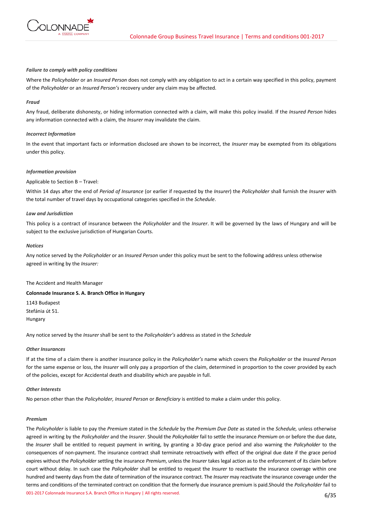

#### *Failure to comply with policy conditions*

Where the *Policyholder* or an *Insured Person* does not comply with any obligation to act in a certain way specified in this policy, payment of the *Policyholder* or an *Insured Person's* recovery under any claim may be affected.

#### *Fraud*

Any fraud, deliberate dishonesty, or hiding information connected with a claim, will make this policy invalid. If the *Insured Person* hides any information connected with a claim, the *Insurer* may invalidate the claim.

#### *Incorrect Information*

In the event that important facts or information disclosed are shown to be incorrect, the *Insurer* may be exempted from its obligations under this policy.

## *Information provision*

## Applicable to Section B – Travel:

Within 14 days after the end of *Period of Insurance* (or earlier if requested by the *Insurer*) the *Policyholder* shall furnish the *Insurer* with the total number of travel days by occupational categories specified in the *Schedule*.

## *Law and Jurisdiction*

This policy is a contract of insurance between the *Policyholder* and the *Insurer*. It will be governed by the laws of Hungary and will be subject to the exclusive jurisdiction of Hungarian Courts.

#### *Notices*

Any notice served by the *Policyholder* or an *Insured Person* under this policy must be sent to the following address unless otherwise agreed in writing by the *Insurer:*

The Accident and Health Manager

# **Colonnade Insurance S. A. Branch Office in Hungary**

1143 Budapest Stefánia út 51. Hungary

Any notice served by the *Insurer* shall be sent to the *Policyholder's* address as stated in the *Schedule*

## *Other Insurances*

If at the time of a claim there is another insurance policy in the *Policyholder's* name which covers the *Policyholder* or the *Insured Person* for the same expense or loss, the *Insurer* will only pay a proportion of the claim, determined in proportion to the cover provided by each of the policies, except for Accidental death and disability which are payable in full.

## *Other Interests*

No person other than the *Policyholder, Insured Person* or *Beneficiary* is entitled to make a claim under this policy.

#### *Premium*

001-2017 Colonnade Insurance S.A. Branch Office in Hungary | All rights reserved. 6/35 The *Policyholder* is liable to pay the *Premium* stated in the *Schedule* by the *Premium Due Date* as stated in the *Schedule,* unless otherwise agreed in writing by the *Policyholder* and the *Insurer*. Should the *Policyholder* fail to settle the insurance *Premium* on or before the due date, the *Insurer* shall be entitled to request payment in writing, by granting a 30-day grace period and also warning the *Policyholder* to the consequences of non-payment. The insurance contract shall terminate retroactively with effect of the original due date if the grace period expires without the *Policyholder* settling the insurance *Premium*, unless the *Insurer* takes legal action as to the enforcement of its claim before court without delay. In such case the *Policyholder* shall be entitled to request the *Insurer* to reactivate the insurance coverage within one hundred and twenty days from the date of termination of the insurance contract. The *Insurer* may reactivate the insurance coverage under the terms and conditions of the terminated contract on condition that the formerly due insurance premium is paid.Should the *Policyholder* fail to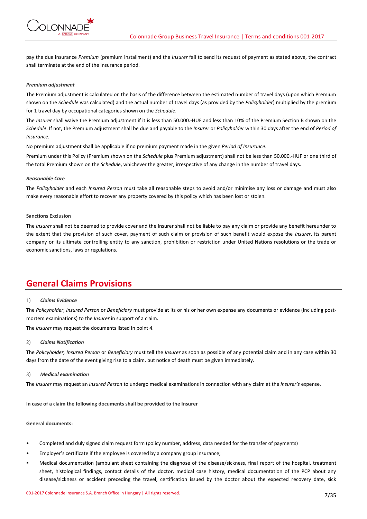

pay the due insurance *Premium* (premium installment) and the *Insurer* fail to send its request of payment as stated above, the contract shall terminate at the end of the insurance period.

## *Premium adjustment*

The Premium adjustment is calculated on the basis of the difference between the estimated number of travel days (upon which Premium shown on the *Schedule* was calculated) and the actual number of travel days (as provided by the *Policyholder*) multiplied by the premium for 1 travel day by occupational categories shown on the *Schedule*.

The *Insurer* shall waive the Premium adjustment if it is less than 50.000.-HUF and less than 10% of the Premium Section B shown on the *Schedule*. If not, the Premium adjustment shall be due and payable to the *Insurer* or *Policyholder* within 30 days after the end of *Period of Insurance.* 

No premium adjustment shall be applicable if no premium payment made in the given *Period of Insurance*.

Premium under this Policy (Premium shown on the *Schedule* plus Premium adjustment) shall not be less than 50.000.-HUF or one third of the total Premium shown on the *Schedule*, whichever the greater, irrespective of any change in the number of travel days.

## *Reasonable Care*

The *Policyholder* and each *Insured Person* must take all reasonable steps to avoid and/or minimise any loss or damage and must also make every reasonable effort to recover any property covered by this policy which has been lost or stolen.

## **Sanctions Exclusion**

The *Insurer* shall not be deemed to provide cover and the Insurer shall not be liable to pay any claim or provide any benefit hereunder to the extent that the provision of such cover, payment of such claim or provision of such benefit would expose the *Insurer*, its parent company or its ultimate controlling entity to any sanction, prohibition or restriction under United Nations resolutions or the trade or economic sanctions, laws or regulations.

# **General Claims Provisions**

# 1) *Claims Evidence*

The *Policyholder, Insured Person* or *Beneficiary* must provide at its or his or her own expense any documents or evidence (including postmortem examinations) to the *Insurer* in support of a claim.

The *Insurer* may request the documents listed in point 4.

#### 2) *Claims Notification*

The *Policyholder, Insured Person* or *Beneficiary* must tell the *Insurer* as soon as possible of any potential claim and in any case within 30 days from the date of the event giving rise to a claim, but notice of death must be given immediately.

#### 3) *Medical examination*

The *Insurer* may request an *Insured Person* to undergo medical examinations in connection with any claim at the *Insurer's* expense.

**In case of a claim the following documents shall be provided to the Insurer** 

## **General documents:**

- Completed and duly signed claim request form (policy number, address, data needed for the transfer of payments)
- Employer's certificate if the employee is covered by a company group insurance;
- Medical documentation (ambulant sheet containing the diagnose of the disease/sickness, final report of the hospital, treatment sheet, histological findings, contact details of the doctor, medical case history, medical documentation of the PCP about any disease/sickness or accident preceding the travel, certification issued by the doctor about the expected recovery date, sick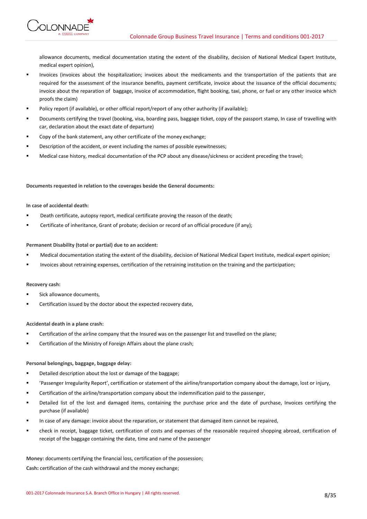**ONNADE** 

allowance documents, medical documentation stating the extent of the disability, decision of National Medical Expert Institute, medical expert opinion),

- Invoices (invoices about the hospitalization; invoices about the medicaments and the transportation of the patients that are required for the assessment of the insurance benefits, payment certificate, invoice about the issuance of the official documents; invoice about the reparation of baggage, invoice of accommodation, flight booking, taxi, phone, or fuel or any other invoice which proofs the claim)
- Policy report (if available), or other official report/report of any other authority (if available);
- Documents certifying the travel (booking, visa, boarding pass, baggage ticket, copy of the passport stamp, In case of travelling with car, declaration about the exact date of departure)
- Copy of the bank statement, any other certificate of the money exchange;
- Description of the accident, or event including the names of possible eyewitnesses;
- Medical case history, medical documentation of the PCP about any disease/sickness or accident preceding the travel;

**Documents requested in relation to the coverages beside the General documents:**

# **In case of accidental death:**

- Death certificate, autopsy report, medical certificate proving the reason of the death;
- Certificate of inheritance, Grant of probate; decision or record of an official procedure (if any);

# **Permanent Disability (total or partial) due to an accident:**

- Medical documentation stating the extent of the disability, decision of National Medical Expert Institute, medical expert opinion;
- Invoices about retraining expenses, certification of the retraining institution on the training and the participation;

# **Recovery cash:**

- Sick allowance documents,
- Certification issued by the doctor about the expected recovery date,

# **Accidental death in a plane crash:**

- Certification of the airline company that the Insured was on the passenger list and travelled on the plane;
- Certification of the Ministry of Foreign Affairs about the plane crash;

# **Personal belongings, baggage, baggage delay:**

- Detailed description about the lost or damage of the baggage;
- 'Passenger Irregularity Report', certification or statement of the airline/transportation company about the damage, lost or injury,
- Certification of the airline/transportation company about the indemnification paid to the passenger,
- Detailed list of the lost and damaged items, containing the purchase price and the date of purchase, Invoices certifying the purchase (if available)
- In case of any damage: invoice about the reparation, or statement that damaged item cannot be repaired,
- check in receipt, baggage ticket, certification of costs and expenses of the reasonable required shopping abroad, certification of receipt of the baggage containing the date, time and name of the passenger

**Money:** documents certifying the financial loss, certification of the possession;

**Cash:** certification of the cash withdrawal and the money exchange;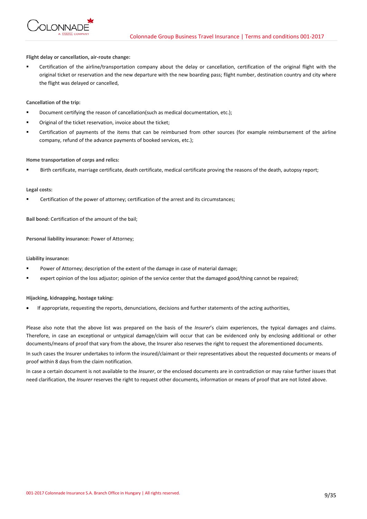

**Flight delay or cancellation, air-route change:**

 Certification of the airline/transportation company about the delay or cancellation, certification of the original flight with the original ticket or reservation and the new departure with the new boarding pass; flight number, destination country and city where the flight was delayed or cancelled,

**Cancellation of the trip:**

- Document certifying the reason of cancellation(such as medical documentation, etc.);
- Original of the ticket reservation, invoice about the ticket;
- Certification of payments of the items that can be reimbursed from other sources (for example reimbursement of the airline company, refund of the advance payments of booked services, etc.);

## **Home transportation of corps and relics:**

Birth certificate, marriage certificate, death certificate, medical certificate proving the reasons of the death, autopsy report;

#### **Legal costs:**

Certification of the power of attorney; certification of the arrest and its circumstances;

**Bail bond:** Certification of the amount of the bail;

**Personal liability insurance:** Power of Attorney;

**Liability insurance:**

- Power of Attorney; description of the extent of the damage in case of material damage;
- expert opinion of the loss adjustor; opinion of the service center that the damaged good/thing cannot be repaired;

**Hijacking, kidnapping, hostage taking:**

If appropriate, requesting the reports, denunciations, decisions and further statements of the acting authorities,

Please also note that the above list was prepared on the basis of the *Insurer*'s claim experiences, the typical damages and claims. Therefore, in case an exceptional or untypical damage/claim will occur that can be evidenced only by enclosing additional or other documents/means of proof that vary from the above, the Insurer also reserves the right to request the aforementioned documents.

In such cases the Insurer undertakes to inform the insured/claimant or their representatives about the requested documents or means of proof within 8 days from the claim notification.

In case a certain document is not available to the *Insurer*, or the enclosed documents are in contradiction or may raise further issues that need clarification, the *Insurer* reserves the right to request other documents, information or means of proof that are not listed above.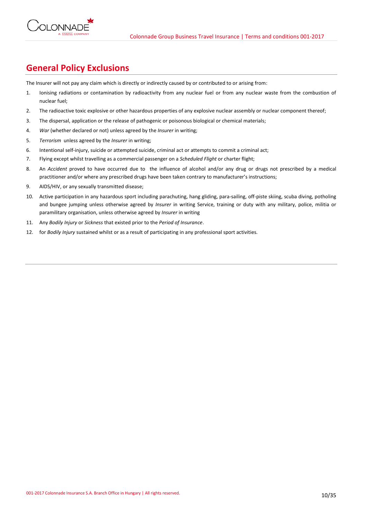

# **General Policy Exclusions**

The Insurer will not pay any claim which is directly or indirectly caused by or contributed to or arising from:

- 1. Ionising radiations or contamination by radioactivity from any nuclear fuel or from any nuclear waste from the combustion of nuclear fuel;
- 2. The radioactive toxic explosive or other hazardous properties of any explosive nuclear assembly or nuclear component thereof;
- 3. The dispersal, application or the release of pathogenic or poisonous biological or chemical materials;
- 4. *War* (whether declared or not) unless agreed by the *Insurer* in writing;
- 5. *Terrorism* unless agreed by the *Insurer* in writing;
- 6. Intentional self-injury, suicide or attempted suicide, criminal act or attempts to commit a criminal act;
- 7. Flying except whilst travelling as a commercial passenger on a *Scheduled Flight* or charter flight;
- 8. An *Accident* proved to have occurred due to the influence of alcohol and/or any drug or drugs not prescribed by a medical practitioner and/or where any prescribed drugs have been taken contrary to manufacturer's instructions;
- 9. AIDS/HIV, or any sexually transmitted disease;
- 10. Active participation in any hazardous sport including parachuting, hang gliding, para-sailing, off-piste skiing, scuba diving, potholing and bungee jumping unless otherwise agreed by *Insurer* in writing Service, training or duty with any military, police, militia or paramilitary organisation, unless otherwise agreed by *Insurer* in writing
- 11. Any *Bodily Injury* or *Sickness* that existed prior to the *Period of Insurance*.
- 12. for *Bodily Injury* sustained whilst or as a result of participating in any professional sport activities.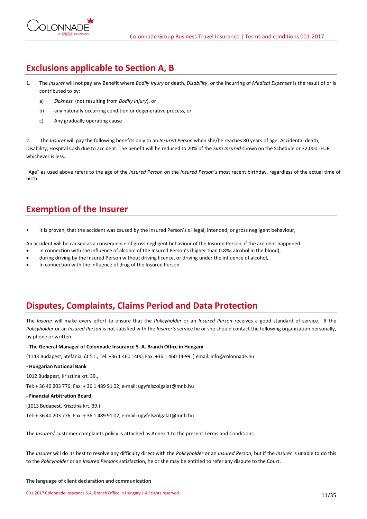

# **Exclusions applicable to Section A, B**

- 1. The *Insurer* will not pay any Benefit where *Bodily Injury* or death, *Disability*, or the incurring of *Medical Expenses* is the result of or is contributed to by:
	- a) *Sickness* (not resulting from *Bodily Injury*), or
	- b) any naturally occurring condition or degenerative process, or
	- c) Any gradually operating cause

2. The *Insurer* will pay the following benefits only to an *Insured Person* when she/he reaches 80 years of age: Accidental death, Disability, Hospital Cash due to accident. The benefit will be reduced to 20% of the *Sum Insured* shown on the Schedule or 32,000.-EUR whichever is less.

"Age" as used above refers to the age of the *Insured Person* on the *Insured Person's* most recent birthday, regardless of the actual time of birth.

# **Exemption of the Insurer**

it is proven, that the accident was caused by the Insured Person's s illegal, intended, or gross negligent behaviour,

An accident will be caused as a consequence of gross negligent behaviour of the Insured Person, if the accident happened:

- in connection with the influence of alcohol of the Insured Person's (higher than 0.8‰ alcohol in the blood),
- during driving by the Insured Person without driving licence, or driving under the influence of alcohol,
- In connection with the influence of drug of the Insured Person

# **Disputes, Complaints, Claims Period and Data Protection**

The *Insurer* will make every effort to ensure that the *Policyholder* or an *Insured Person* receives a good standard of service. If the *Policyholder* or an *Insured Person* is not satisfied with the *Insurer's* service he or she should contact the following organization personally, by phone or written:

# **- The General Manager of Colonnade Insurance S. A. Branch Office in Hungary**

(1143 Budapest, Stefánia út 51., Tel: +36 1 460 1400, Fax: +36 1 460 14-99. ) email: info@colonnade.hu

# **- Hungarian National Bank**

1012 Budapest, Krisztina krt. 39.,

Tel: + 36 40 203 776; Fax: + 36 1 489 91 02; e-mail: ugyfelszolgalat@mnb.hu

# **- Financial Arbitration Board**

(1013 Budapest, Krisztina krt. 39.)

Tel: + 36 40 203 776; Fax: + 36 1 489 91 02; e-mail: ugyfelszolgalat@mnb.hu

The *Insurer*s' customer complaints policy is attached as Annex 1 to the present Terms and Conditions.

The *Insurer* will do its best to resolve any difficulty direct with the *Policyholder* or an *Insured Person*, but if the *Insurer* is unable to do this to the *Policyholder* or an *Insured Persons* satisfaction, he or she may be entitled to refer any dispute to the Court.

#### **The language of client declaration and communication**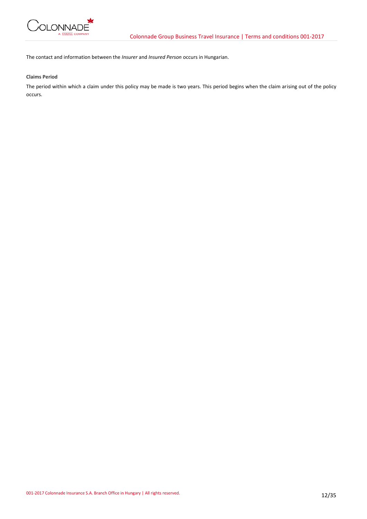

The contact and information between the *Insurer* and *Insured Person* occurs in Hungarian.

**Claims Period**

The period within which a claim under this policy may be made is two years. This period begins when the claim arising out of the policy occurs.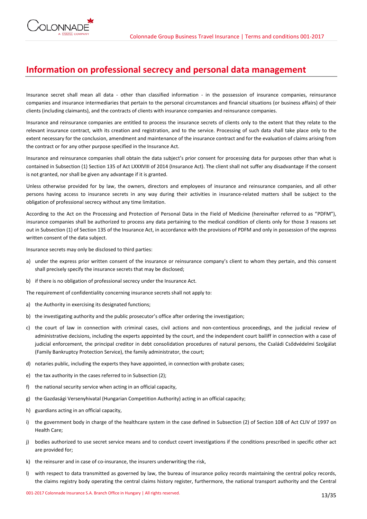# **Information on professional secrecy and personal data management**

Insurance secret shall mean all data - other than classified information - in the possession of insurance companies, reinsurance companies and insurance intermediaries that pertain to the personal circumstances and financial situations (or business affairs) of their clients (including claimants), and the contracts of clients with insurance companies and reinsurance companies.

Insurance and reinsurance companies are entitled to process the insurance secrets of clients only to the extent that they relate to the relevant insurance contract, with its creation and registration, and to the service. Processing of such data shall take place only to the extent necessary for the conclusion, amendment and maintenance of the insurance contract and for the evaluation of claims arising from the contract or for any other purpose specified in the Insurance Act.

Insurance and reinsurance companies shall obtain the data subject's prior consent for processing data for purposes other than what is contained in Subsection (1) Section 135 of Act LXXXVIII of 2014 (Insurance Act). The client shall not suffer any disadvantage if the consent is not granted, nor shall be given any advantage if it is granted.

Unless otherwise provided for by law, the owners, directors and employees of insurance and reinsurance companies, and all other persons having access to insurance secrets in any way during their activities in insurance-related matters shall be subject to the obligation of professional secrecy without any time limitation.

According to the Act on the Processing and Protection of Personal Data in the Field of Medicine (hereinafter referred to as "PDFM"), insurance companies shall be authorized to process any data pertaining to the medical condition of clients only for those 3 reasons set out in Subsection (1) of Section 135 of the Insurance Act, in accordance with the provisions of PDFM and only in possession of the express written consent of the data subject.

Insurance secrets may only be disclosed to third parties:

- a) under the express prior written consent of the insurance or reinsurance company's client to whom they pertain, and this consent shall precisely specify the insurance secrets that may be disclosed;
- b) if there is no obligation of professional secrecy under the Insurance Act.

The requirement of confidentiality concerning insurance secrets shall not apply to:

- a) the Authority in exercising its designated functions;
- b) the investigating authority and the public prosecutor's office after ordering the investigation;
- c) the court of law in connection with criminal cases, civil actions and non-contentious proceedings, and the judicial review of administrative decisions, including the experts appointed by the court, and the independent court bailiff in connection with a case of judicial enforcement, the principal creditor in debt consolidation procedures of natural persons, the Családi Csődvédelmi Szolgálat (Family Bankruptcy Protection Service), the family administrator, the court;
- d) notaries public, including the experts they have appointed, in connection with probate cases;
- e) the tax authority in the cases referred to in Subsection (2);
- f) the national security service when acting in an official capacity,
- g) the Gazdasági Versenyhivatal (Hungarian Competition Authority) acting in an official capacity;
- h) guardians acting in an official capacity,
- i) the government body in charge of the healthcare system in the case defined in Subsection (2) of Section 108 of Act CLIV of 1997 on Health Care;
- j) bodies authorized to use secret service means and to conduct covert investigations if the conditions prescribed in specific other act are provided for;
- k) the reinsurer and in case of co-insurance, the insurers underwriting the risk,
- l) with respect to data transmitted as governed by law, the bureau of insurance policy records maintaining the central policy records, the claims registry body operating the central claims history register, furthermore, the national transport authority and the Central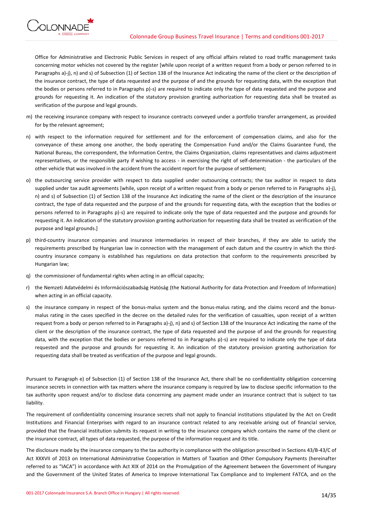

Office for Administrative and Electronic Public Services in respect of any official affairs related to road traffic management tasks concerning motor vehicles not covered by the register [while upon receipt of a written request from a body or person referred to in Paragraphs a)-j), n) and s) of Subsection (1) of Section 138 of the Insurance Act indicating the name of the client or the description of the insurance contract, the type of data requested and the purpose of and the grounds for requesting data, with the exception that the bodies or persons referred to in Paragraphs p)-s) are required to indicate only the type of data requested and the purpose and grounds for requesting it. An indication of the statutory provision granting authorization for requesting data shall be treated as verification of the purpose and legal grounds.

- m) the receiving insurance company with respect to insurance contracts conveyed under a portfolio transfer arrangement, as provided for by the relevant agreement;
- n) with respect to the information required for settlement and for the enforcement of compensation claims, and also for the conveyance of these among one another, the body operating the Compensation Fund and/or the Claims Guarantee Fund, the National Bureau, the correspondent, the Information Centre, the Claims Organization, claims representatives and claims adjustment representatives, or the responsible party if wishing to access - in exercising the right of self-determination - the particulars of the other vehicle that was involved in the accident from the accident report for the purpose of settlement;
- o) the outsourcing service provider with respect to data supplied under outsourcing contracts; the tax auditor in respect to data supplied under tax audit agreements [while, upon receipt of a written request from a body or person referred to in Paragraphs a)-j), n) and s) of Subsection (1) of Section 138 of the Insurance Act indicating the name of the client or the description of the insurance contract, the type of data requested and the purpose of and the grounds for requesting data, with the exception that the bodies or persons referred to in Paragraphs p)-s) are required to indicate only the type of data requested and the purpose and grounds for requesting it. An indication of the statutory provision granting authorization for requesting data shall be treated as verification of the purpose and legal grounds.]
- p) third-country insurance companies and insurance intermediaries in respect of their branches, if they are able to satisfy the requirements prescribed by Hungarian law in connection with the management of each datum and the country in which the thirdcountry insurance company is established has regulations on data protection that conform to the requirements prescribed by Hungarian law;
- q) the commissioner of fundamental rights when acting in an official capacity;

**OLONNADE** 

- r) the Nemzeti Adatvédelmi és Információszabadság Hatóság (the National Authority for data Protection and Freedom of Information) when acting in an official capacity.
- s) the insurance company in respect of the bonus-malus system and the bonus-malus rating, and the claims record and the bonusmalus rating in the cases specified in the decree on the detailed rules for the verification of casualties, upon receipt of a written request from a body or person referred to in Paragraphs a)-j), n) and s) of Section 138 of the Insurance Act indicating the name of the client or the description of the insurance contract, the type of data requested and the purpose of and the grounds for requesting data, with the exception that the bodies or persons referred to in Paragraphs p)-s) are required to indicate only the type of data requested and the purpose and grounds for requesting it. An indication of the statutory provision granting authorization for requesting data shall be treated as verification of the purpose and legal grounds.

Pursuant to Paragraph e) of Subsection (1) of Section 138 of the Insurance Act, there shall be no confidentiality obligation concerning insurance secrets in connection with tax matters where the insurance company is required by law to disclose specific information to the tax authority upon request and/or to disclose data concerning any payment made under an insurance contract that is subject to tax liability.

The requirement of confidentiality concerning insurance secrets shall not apply to financial institutions stipulated by the Act on Credit Institutions and Financial Enterprises with regard to an insurance contract related to any receivable arising out of financial service, provided that the financial institution submits its request in writing to the insurance company which contains the name of the client or the insurance contract, all types of data requested, the purpose of the information request and its title.

The disclosure made by the insurance company to the tax authority in compliance with the obligation prescribed in Sections 43/B-43/C of Act XXXVII of 2013 on International Administrative Cooperation in Matters of Taxation and Other Compulsory Payments (hereinafter referred to as "IACA") in accordance with Act XIX of 2014 on the Promulgation of the Agreement between the Government of Hungary and the Government of the United States of America to Improve International Tax Compliance and to Implement FATCA, and on the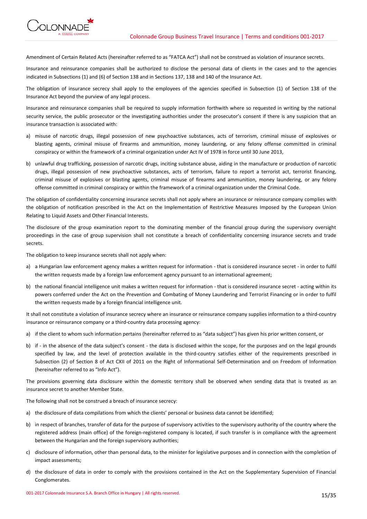

Amendment of Certain Related Acts (hereinafter referred to as "FATCA Act") shall not be construed as violation of insurance secrets.

Insurance and reinsurance companies shall be authorized to disclose the personal data of clients in the cases and to the agencies indicated in Subsections (1) and (6) of Section 138 and in Sections 137, 138 and 140 of the Insurance Act.

The obligation of insurance secrecy shall apply to the employees of the agencies specified in Subsection (1) of Section 138 of the Insurance Act beyond the purview of any legal process.

Insurance and reinsurance companies shall be required to supply information forthwith where so requested in writing by the national security service, the public prosecutor or the investigating authorities under the prosecutor's consent if there is any suspicion that an insurance transaction is associated with:

- a) misuse of narcotic drugs, illegal possession of new psychoactive substances, acts of terrorism, criminal misuse of explosives or blasting agents, criminal misuse of firearms and ammunition, money laundering, or any felony offense committed in criminal conspiracy or within the framework of a criminal organization under Act IV of 1978 in force until 30 June 2013,
- b) unlawful drug trafficking, possession of narcotic drugs, inciting substance abuse, aiding in the manufacture or production of narcotic drugs, illegal possession of new psychoactive substances, acts of terrorism, failure to report a terrorist act, terrorist financing, criminal misuse of explosives or blasting agents, criminal misuse of firearms and ammunition, money laundering, or any felony offense committed in criminal conspiracy or within the framework of a criminal organization under the Criminal Code.

The obligation of confidentiality concerning insurance secrets shall not apply where an insurance or reinsurance company complies with the obligation of notification prescribed in the Act on the Implementation of Restrictive Measures Imposed by the European Union Relating to Liquid Assets and Other Financial Interests.

The disclosure of the group examination report to the dominating member of the financial group during the supervisory oversight proceedings in the case of group supervision shall not constitute a breach of confidentiality concerning insurance secrets and trade secrets.

The obligation to keep insurance secrets shall not apply when:

- a) a Hungarian law enforcement agency makes a written request for information that is considered insurance secret in order to fulfil the written requests made by a foreign law enforcement agency pursuant to an international agreement;
- b) the national financial intelligence unit makes a written request for information that is considered insurance secret acting within its powers conferred under the Act on the Prevention and Combating of Money Laundering and Terrorist Financing or in order to fulfil the written requests made by a foreign financial intelligence unit.

It shall not constitute a violation of insurance secrecy where an insurance or reinsurance company supplies information to a third-country insurance or reinsurance company or a third-country data processing agency:

- a) if the client to whom such information pertains (hereinafter referred to as "data subject") has given his prior written consent, or
- b) if in the absence of the data subject's consent the data is disclosed within the scope, for the purposes and on the legal grounds specified by law, and the level of protection available in the third-country satisfies either of the requirements prescribed in Subsection (2) of Section 8 of Act CXII of 2011 on the Right of Informational Self-Determination and on Freedom of Information (hereinafter referred to as "Info Act").

The provisions governing data disclosure within the domestic territory shall be observed when sending data that is treated as an insurance secret to another Member State.

The following shall not be construed a breach of insurance secrecy:

- a) the disclosure of data compilations from which the clients' personal or business data cannot be identified;
- b) in respect of branches, transfer of data for the purpose of supervisory activities to the supervisory authority of the country where the registered address (main office) of the foreign-registered company is located, if such transfer is in compliance with the agreement between the Hungarian and the foreign supervisory authorities;
- c) disclosure of information, other than personal data, to the minister for legislative purposes and in connection with the completion of impact assessments;
- d) the disclosure of data in order to comply with the provisions contained in the Act on the Supplementary Supervision of Financial Conglomerates.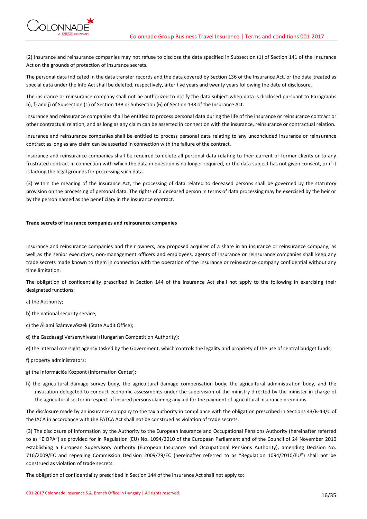

(2) Insurance and reinsurance companies may not refuse to disclose the data specified in Subsection (1) of Section 141 of the Insurance Act on the grounds of protection of insurance secrets.

The personal data indicated in the data transfer records and the data covered by Section 136 of the Insurance Act, or the data treated as special data under the Info Act shall be deleted, respectively, after five years and twenty years following the date of disclosure.

The insurance or reinsurance company shall not be authorized to notify the data subject when data is disclosed pursuant to Paragraphs b), f) and j) of Subsection (1) of Section 138 or Subsection (6) of Section 138 of the Insurance Act.

Insurance and reinsurance companies shall be entitled to process personal data during the life of the insurance or reinsurance contract or other contractual relation, and as long as any claim can be asserted in connection with the insurance, reinsurance or contractual relation.

Insurance and reinsurance companies shall be entitled to process personal data relating to any unconcluded insurance or reinsurance contract as long as any claim can be asserted in connection with the failure of the contract.

Insurance and reinsurance companies shall be required to delete all personal data relating to their current or former clients or to any frustrated contract in connection with which the data in question is no longer required, or the data subject has not given consent, or if it is lacking the legal grounds for processing such data.

(3) Within the meaning of the Insurance Act, the processing of data related to deceased persons shall be governed by the statutory provision on the processing of personal data. The rights of a deceased person in terms of data processing may be exercised by the heir or by the person named as the beneficiary in the insurance contract.

# **Trade secrets of insurance companies and reinsurance companies**

Insurance and reinsurance companies and their owners, any proposed acquirer of a share in an insurance or reinsurance company, as well as the senior executives, non-management officers and employees, agents of insurance or reinsurance companies shall keep any trade secrets made known to them in connection with the operation of the insurance or reinsurance company confidential without any time limitation.

The obligation of confidentiality prescribed in Section 144 of the Insurance Act shall not apply to the following in exercising their designated functions:

a) the Authority;

b) the national security service;

c) the Állami Számvevőszék (State Audit Office);

- d) the Gazdasági Versenyhivatal (Hungarian Competition Authority);
- e) the internal oversight agency tasked by the Government, which controls the legality and propriety of the use of central budget funds;
- f) property administrators;
- g) the Információs Központ (Information Center);
- h) the agricultural damage survey body, the agricultural damage compensation body, the agricultural administration body, and the institution delegated to conduct economic assessments under the supervision of the ministry directed by the minister in charge of the agricultural sector in respect of insured persons claiming any aid for the payment of agricultural insurance premiums.

The disclosure made by an insurance company to the tax authority in compliance with the obligation prescribed in Sections 43/B-43/C of the IACA in accordance with the FATCA Act shall not be construed as violation of trade secrets.

(3) The disclosure of information by the Authority to the European Insurance and Occupational Pensions Authority (hereinafter referred to as "EIOPA") as provided for in Regulation (EU) No. 1094/2010 of the European Parliament and of the Council of 24 November 2010 establishing a European Supervisory Authority (European Insurance and Occupational Pensions Authority), amending Decision No. 716/2009/EC and repealing Commission Decision 2009/79/EC (hereinafter referred to as "Regulation 1094/2010/EU") shall not be construed as violation of trade secrets.

The obligation of confidentiality prescribed in Section 144 of the Insurance Act shall not apply to: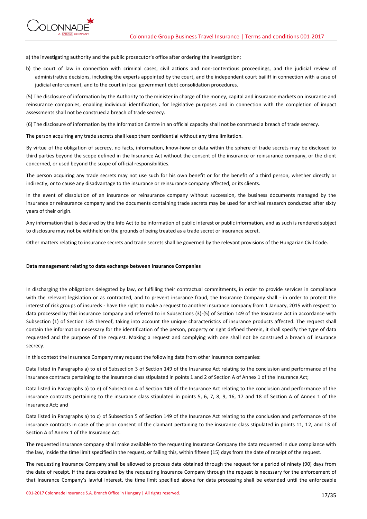

a) the investigating authority and the public prosecutor's office after ordering the investigation;

b) the court of law in connection with criminal cases, civil actions and non-contentious proceedings, and the judicial review of administrative decisions, including the experts appointed by the court, and the independent court bailiff in connection with a case of judicial enforcement, and to the court in local government debt consolidation procedures.

(5) The disclosure of information by the Authority to the minister in charge of the money, capital and insurance markets on insurance and reinsurance companies, enabling individual identification, for legislative purposes and in connection with the completion of impact assessments shall not be construed a breach of trade secrecy.

(6) The disclosure of information by the Information Centre in an official capacity shall not be construed a breach of trade secrecy.

The person acquiring any trade secrets shall keep them confidential without any time limitation.

By virtue of the obligation of secrecy, no facts, information, know-how or data within the sphere of trade secrets may be disclosed to third parties beyond the scope defined in the Insurance Act without the consent of the insurance or reinsurance company, or the client concerned, or used beyond the scope of official responsibilities.

The person acquiring any trade secrets may not use such for his own benefit or for the benefit of a third person, whether directly or indirectly, or to cause any disadvantage to the insurance or reinsurance company affected, or its clients.

In the event of dissolution of an insurance or reinsurance company without succession, the business documents managed by the insurance or reinsurance company and the documents containing trade secrets may be used for archival research conducted after sixty years of their origin.

Any information that is declared by the Info Act to be information of public interest or public information, and as such is rendered subject to disclosure may not be withheld on the grounds of being treated as a trade secret or insurance secret.

Other matters relating to insurance secrets and trade secrets shall be governed by the relevant provisions of the Hungarian Civil Code.

# **Data management relating to data exchange between Insurance Companies**

In discharging the obligations delegated by law, or fulfilling their contractual commitments, in order to provide services in compliance with the relevant legislation or as contracted, and to prevent insurance fraud, the Insurance Company shall - in order to protect the interest of risk groups of insureds - have the right to make a request to another insurance company from 1 January, 2015 with respect to data processed by this insurance company and referred to in Subsections (3)-(5) of Section 149 of the Insurance Act in accordance with Subsection (1) of Section 135 thereof, taking into account the unique characteristics of insurance products affected. The request shall contain the information necessary for the identification of the person, property or right defined therein, it shall specify the type of data requested and the purpose of the request. Making a request and complying with one shall not be construed a breach of insurance secrecy.

In this context the Insurance Company may request the following data from other insurance companies:

Data listed in Paragraphs a) to e) of Subsection 3 of Section 149 of the Insurance Act relating to the conclusion and performance of the insurance contracts pertaining to the insurance class stipulated in points 1 and 2 of Section A of Annex 1 of the Insurance Act;

Data listed in Paragraphs a) to e) of Subsection 4 of Section 149 of the Insurance Act relating to the conclusion and performance of the insurance contracts pertaining to the insurance class stipulated in points 5, 6, 7, 8, 9, 16, 17 and 18 of Section A of Annex 1 of the Insurance Act; and

Data listed in Paragraphs a) to c) of Subsection 5 of Section 149 of the Insurance Act relating to the conclusion and performance of the insurance contracts in case of the prior consent of the claimant pertaining to the insurance class stipulated in points 11, 12, and 13 of Section A of Annex 1 of the Insurance Act.

The requested insurance company shall make available to the requesting Insurance Company the data requested in due compliance with the law, inside the time limit specified in the request, or failing this, within fifteen (15) days from the date of receipt of the request.

The requesting Insurance Company shall be allowed to process data obtained through the request for a period of ninety (90) days from the date of receipt. If the data obtained by the requesting Insurance Company through the request is necessary for the enforcement of that Insurance Company's lawful interest, the time limit specified above for data processing shall be extended until the enforceable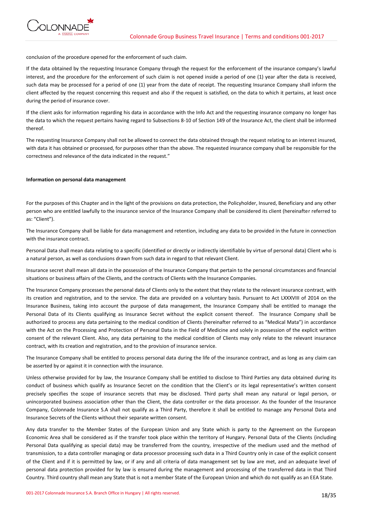

conclusion of the procedure opened for the enforcement of such claim.

If the data obtained by the requesting Insurance Company through the request for the enforcement of the insurance company's lawful interest, and the procedure for the enforcement of such claim is not opened inside a period of one (1) year after the data is received, such data may be processed for a period of one (1) year from the date of receipt. The requesting Insurance Company shall inform the client affected by the request concerning this request and also if the request is satisfied, on the data to which it pertains, at least once during the period of insurance cover.

If the client asks for information regarding his data in accordance with the Info Act and the requesting insurance company no longer has the data to which the request pertains having regard to Subsections 8-10 of Section 149 of the Insurance Act, the client shall be informed thereof.

The requesting Insurance Company shall not be allowed to connect the data obtained through the request relating to an interest insured, with data it has obtained or processed, for purposes other than the above. The requested insurance company shall be responsible for the correctness and relevance of the data indicated in the request."

# **Information on personal data management**

For the purposes of this Chapter and in the light of the provisions on data protection, the Policyholder, Insured, Beneficiary and any other person who are entitled lawfully to the insurance service of the Insurance Company shall be considered its client (hereinafter referred to as: "Client").

The Insurance Company shall be liable for data management and retention, including any data to be provided in the future in connection with the insurance contract.

Personal Data shall mean data relating to a specific (identified or directly or indirectly identifiable by virtue of personal data) Client who is a natural person, as well as conclusions drawn from such data in regard to that relevant Client.

Insurance secret shall mean all data in the possession of the Insurance Company that pertain to the personal circumstances and financial situations or business affairs of the Clients, and the contracts of Clients with the Insurance Companies.

The Insurance Company processes the personal data of Clients only to the extent that they relate to the relevant insurance contract, with its creation and registration, and to the service. The data are provided on a voluntary basis. Pursuant to Act LXXXVIII of 2014 on the Insurance Business, taking into account the purpose of data management, the Insurance Company shall be entitled to manage the Personal Data of its Clients qualifying as Insurance Secret without the explicit consent thereof. The Insurance Company shall be authorized to process any data pertaining to the medical condition of Clients (hereinafter referred to as "Medical Mata") in accordance with the Act on the Processing and Protection of Personal Data in the Field of Medicine and solely in possession of the explicit written consent of the relevant Client. Also, any data pertaining to the medical condition of Clients may only relate to the relevant insurance contract, with its creation and registration, and to the provision of insurance service.

The Insurance Company shall be entitled to process personal data during the life of the insurance contract, and as long as any claim can be asserted by or against it in connection with the insurance.

Unless otherwise provided for by law, the Insurance Company shall be entitled to disclose to Third Parties any data obtained during its conduct of business which qualify as Insurance Secret on the condition that the Client's or its legal representative's written consent precisely specifies the scope of insurance secrets that may be disclosed. Third party shall mean any natural or legal person, or unincorporated business association other than the Client, the data controller or the data processor. As the founder of the Insurance Company, Colonnade Insurance S.A shall not qualify as a Third Party, therefore it shall be entitled to manage any Personal Data and Insurance Secrets of the Clients without their separate written consent.

Any data transfer to the Member States of the European Union and any State which is party to the Agreement on the European Economic Area shall be considered as if the transfer took place within the territory of Hungary. Personal Data of the Clients (including Personal Data qualifying as special data) may be transferred from the country, irrespective of the medium used and the method of transmission, to a data controller managing or data processor processing such data in a Third Country only in case of the explicit consent of the Client and if it is permitted by law, or if any and all criteria of data management set by law are met, and an adequate level of personal data protection provided for by law is ensured during the management and processing of the transferred data in that Third Country. Third country shall mean any State that is not a member State of the European Union and which do not qualify as an EEA State.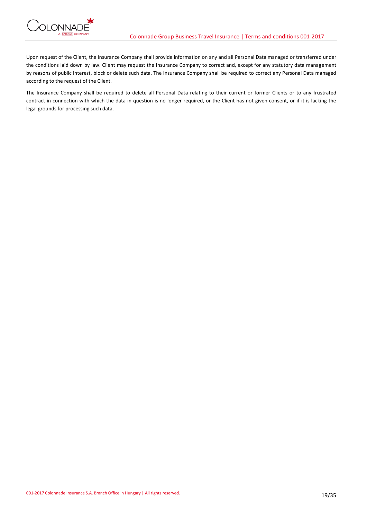

Upon request of the Client, the Insurance Company shall provide information on any and all Personal Data managed or transferred under the conditions laid down by law. Client may request the Insurance Company to correct and, except for any statutory data management by reasons of public interest, block or delete such data. The Insurance Company shall be required to correct any Personal Data managed according to the request of the Client.

The Insurance Company shall be required to delete all Personal Data relating to their current or former Clients or to any frustrated contract in connection with which the data in question is no longer required, or the Client has not given consent, or if it is lacking the legal grounds for processing such data.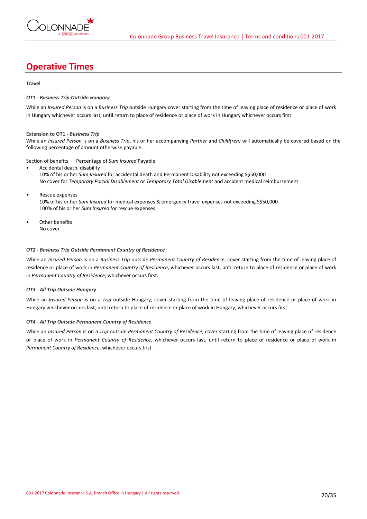

# **Operative Times**

# **Travel**

# *OT1 - Business Trip Outside Hungary*

While an *Insured Person* is on a *Business Trip* outside Hungary cover starting from the time of leaving place of residence or place of work in Hungary whichever occurs last, until return to place of residence or place of work in Hungary whichever occurs first.

# **Extension to OT1 -** *Business Trip*

While an *Insured Person* is on a *Business Trip***,** his or her accompanying *Partner* and *Child(ren)* will automatically be covered based on the following percentage of amount otherwise payable:

## Section of benefits Percentage of *Sum Insured* Payable

- Accidental death, disability 10% of his or her *Sum Insured* for accidental death and Permanent Disability not exceeding S\$50,000 No cover for *Temporary Partial Disablement* or *Temporary Total Disablement* and accident medical reimbursement
- Rescue expenses 10% of his or her *Sum Insured* for medical expenses & emergency travel expenses not exceeding S\$50,000 100% of his or her *Sum Insured* for rescue expenses
- Other benefits No cover

# *OT2 - Business Trip Outside Permanent Country of Residence*

While an *Insured Person* is on a *Business Trip* outside *Permanent Country of Residence*, cover starting from the time of leaving place of residence or place of work in *Permanent Country of Residence*, whichever occurs last, until return to place of residence or place of work in *Permanent Country of Residence*, whichever occurs first.

# *OT3 - All Trip Outside Hungary*

While an *Insured Person* is on a *Trip* outside Hungary, cover starting from the time of leaving place of residence or place of work in Hungary whichever occurs last, until return to place of residence or place of work in Hungary, whichever occurs first.

# *OT4 - All Trip Outside Permanent Country of Residence*

While an *Insured Person* is on a *Trip* outside *Permanent Country of Residence*, cover starting from the time of leaving place of residence or place of work in *Permanent Country of Residence*, whichever occurs last, until return to place of residence or place of work in *Permanent Country of Residence*, whichever occurs first.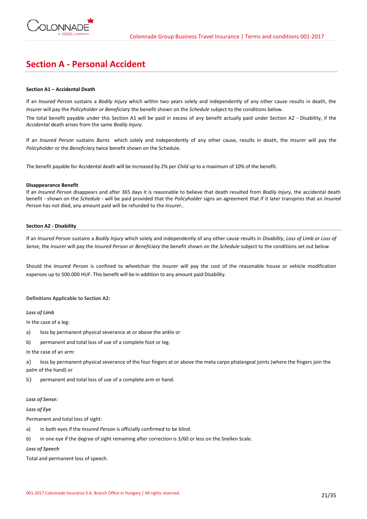

# **Section A - Personal Accident**

# **Section A1 – Accidental Death**

If an *Insured Person* sustains a *Bodily Injury* which within two years solely and independently of any other cause results in death, the *Insurer* will pay the *Policyholder or Beneficiary* the benefit shown on the *Schedule* subject to the conditions below.

The total benefit payable under this Section A1 will be paid in excess of any benefit actually paid under Section A2 - Disability, if the *Accidental* death arises from the same *Bodily Injury*.

If an *Insured Person* sustains *Burns* which solely and independently of any other cause, results in death, the *Insurer* will pay the *Policyholder* or the *Beneficiary* twice benefit shown on the Schedule.

The benefit payable for Accidental death will be increased by 2% per *Child* up to a maximum of 10% of the benefit.

## **Disappearance Benefit**

If an *Insured Person* disappears and after 365 days it is reasonable to believe that death resulted from *Bodily Injury*, the accidental death benefit - shown on the *Schedule* - will be paid provided that the *Policyholder* signs an agreement that if it later transpires that an *Insured Person* has not died, any amount paid will be refunded to the *Insurer..*

## **Section A2 - Disability**

If an *Insured Person* sustains a *Bodily Injury* which solely and independently of any other cause results in *Disability*, *Loss of Limb or Loss of Sense*, the *Insurer* will pay the *Insured Person* or *Beneficiary* the benefit shown on the *Schedule* subject to the conditions set out below.

Should the *Insured Person* is confined to wheelchair the *Insurer* will pay the cost of the reasonable house or vehicle modification expenses up to 500.000 HUF. This benefit will be in addition to any amount paid Disability.

# **Definitions Applicable to Section A2:**

*Loss of Limb* 

In the case of a leg:

a) loss by permanent physical severance at or above the ankle or

b) permanent and total loss of use of a complete foot or leg.

In the case of an arm:

a) loss by permanent physical severance of the four fingers at or above the meta carpo phalangeal joints (where the fingers join the palm of the hand) or

b) permanent and total loss of use of a complete arm or hand.

## *Loss of Sense:*

*Loss of Eye* 

Permanent and total loss of sight:

- a) in both eyes if the *Insured Person* is officially confirmed to be blind.
- b) in one eye if the degree of sight remaining after correction is 3/60 or less on the Snellen Scale.

*Loss of Speech*

Total and permanent loss of speech.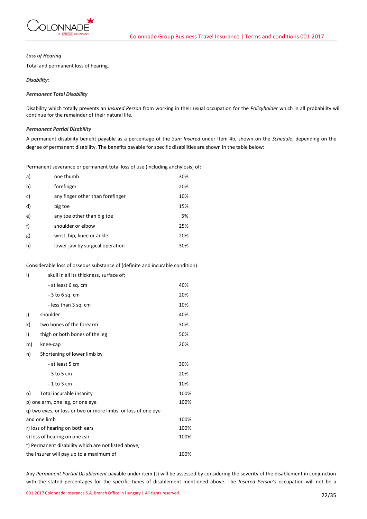

# *Loss of Hearing*

Total and permanent loss of hearing.

# *Disability:*

# *Permanent Total Disability*

Disability which totally prevents an *Insured Person* from working in their usual occupation for the *Policyholder* which in all probability will continue for the remainder of their natural life.

# *Permanent Partial Disability*

A permanent disability benefit payable as a percentage of the *Sum Insured* under Item 4b, shown on the *Schedule*, depending on the degree of permanent disability. The benefits payable for specific disabilities are shown in the table below:

Permanent severance or permanent total loss of use (including anchylosis) of:

| a) | one thumb                        | 30% |
|----|----------------------------------|-----|
| b) | forefinger                       | 20% |
| c) | any finger other than forefinger | 10% |
| d) | big toe                          | 15% |
| e) | any toe other than big toe       | 5%  |
| f) | shoulder or elbow                | 25% |
| g) | wrist, hip, knee or ankle        | 20% |
| h) | lower jaw by surgical operation  | 30% |

Considerable loss of osseous substance of (definite and incurable condition):

| i)                                                            | skull in all its thickness, surface of: |      |  |
|---------------------------------------------------------------|-----------------------------------------|------|--|
|                                                               | - at least 6 sq. cm                     | 40%  |  |
|                                                               | - 3 to 6 sq. cm                         | 20%  |  |
|                                                               | - less than 3 sq. cm                    | 10%  |  |
| j)                                                            | shoulder                                | 40%  |  |
| k)                                                            | two bones of the forearm                | 30%  |  |
| I)                                                            | thigh or both bones of the leg          | 50%  |  |
| m)                                                            | knee-cap                                | 20%  |  |
| n)                                                            | Shortening of lower limb by             |      |  |
|                                                               | - at least 5 cm                         | 30%  |  |
|                                                               | - 3 to 5 cm                             | 20%  |  |
|                                                               | $-1$ to 3 cm                            | 10%  |  |
| o)                                                            | Total incurable insanity                | 100% |  |
| p) one arm, one leg, or one eye                               |                                         | 100% |  |
| g) two eyes, or loss or two or more limbs, or loss of one eye |                                         |      |  |
| and one limb                                                  |                                         | 100% |  |
| r) loss of hearing on both ears                               |                                         | 100% |  |
| s) loss of hearing on one ear                                 |                                         |      |  |
| t) Permanent disability which are not listed above,           |                                         |      |  |
| the Insurer will pay up to a maximum of<br>100%               |                                         |      |  |

Any *Permanent Partial Disablement* payable under item (t) will be assessed by considering the severity of the disablement in conjunction with the stated percentages for the specific types of disablement mentioned above. The *Insured Person's* occupation will not be a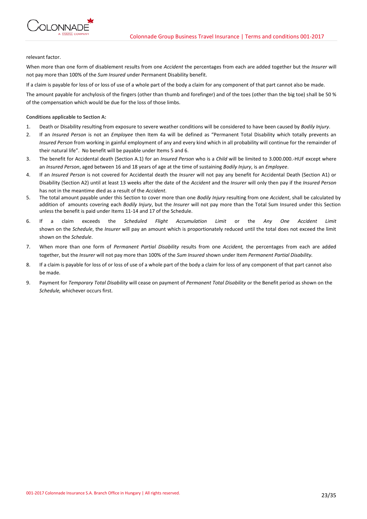

relevant factor.

When more than one form of disablement results from one *Accident* the percentages from each are added together but the *Insurer* will not pay more than 100% of the *Sum Insured* under Permanent Disability benefit.

If a claim is payable for loss of or loss of use of a whole part of the body a claim for any component of that part cannot also be made.

The amount payable for anchylosis of the fingers (other than thumb and forefinger) and of the toes (other than the big toe) shall be 50 % of the compensation which would be due for the loss of those limbs.

# **Conditions applicable to Section A:**

- 1. Death or Disability resulting from exposure to severe weather conditions will be considered to have been caused by *Bodily Injury*.
- 2. If an *Insured Person* is not an *Employee* then Item 4a will be defined as "Permanent Total Disability which totally prevents an *Insured Person* from working in gainful employment of any and every kind which in all probability will continue for the remainder of their natural life". No benefit will be payable under Items 5 and 6.
- 3. The benefit for Accidental death (Section A.1) for an *Insured Person* who is a *Child* will be limited to 3.000.000.-HUF except where an *Insured Person*, aged between 16 and 18 years of age at the time of sustaining *Bodily Injury*, is an *Employee*.
- 4. If an *Insured Person* is not covered for Accidental death the *Insurer* will not pay any benefit for Accidental Death (Section A1) or Disability (Section A2) until at least 13 weeks after the date of the *Accident* and the *Insurer* will only then pay if the *Insured Person* has not in the meantime died as a result of the *Accident*.
- 5. The total amount payable under this Section to cover more than one *Bodily Injury* resulting from one *Accident*, shall be calculated by addition of amounts covering each *Bodily Injury*, but the *Insurer* will not pay more than the Total Sum Insured under this Section unless the benefit is paid under Items 11-14 and 17 of the Schedule.
- 6. If a claim exceeds the *Scheduled Flight Accumulation Limit* or the *Any One Accident Limit* shown on the *Schedule*, the *Insurer* will pay an amount which is proportionately reduced until the total does not exceed the limit shown on the *Schedule*.
- 7. When more than one form of *Permanent Partial Disability* results from one *Accident,* the percentages from each are added together, but the *Insurer* will not pay more than 100% of the *Sum Insured* shown under Item *Permanent Partial Disability.*
- 8. If a claim is payable for loss of or loss of use of a whole part of the body a claim for loss of any component of that part cannot also be made.
- 9. Payment for *Temporary Total Disability* will cease on payment of *Permanent Total Disability* or the Benefit period as shown on the *Schedule,* whichever occurs first.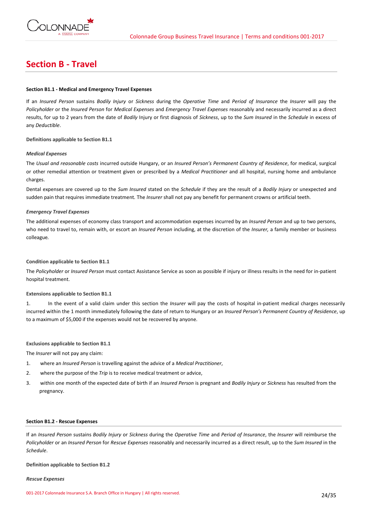

# **Section B - Travel**

# **Section B1.1 - Medical and Emergency Travel Expenses**

If an *Insured Person* sustains *Bodily Injury* or *Sickness* during the *Operative Time* and *Period of Insurance* the *Insurer* will pay the *Policyholder* or the *Insured Person* for *Medical Expenses* and *Emergency Travel Expenses* reasonably and necessarily incurred as a direct results, for up to 2 years from the date of *Bodily* Injury or first diagnosis of *Sickness*, up to the *Sum Insured* in the *Schedule* in excess of any *Deductible*.

**Definitions applicable to Section B1.1**

## *Medical Expenses*

The *Usual and reasonable costs* incurred outside Hungary, or an *Insured Person's Permanent Country of Residence*, for medical, surgical or other remedial attention or treatment given or prescribed by a *Medical Practitioner* and all hospital, nursing home and ambulance charges.

Dental expenses are covered up to the *Sum Insured* stated on the *Schedule* if they are the result of a *Bodily Injury* or unexpected and sudden pain that requires immediate treatment*.* The *Insurer* shall not pay any benefit for permanent crowns or artificial teeth.

## *Emergency Travel Expenses*

The additional expenses of economy class transport and accommodation expenses incurred by an *Insured Person* and up to two persons, who need to travel to, remain with, or escort an *Insured Person* including, at the discretion of the *Insurer,* a family member or business colleague*.*

## **Condition applicable to Section B1.1**

The *Policyholder* or *Insured Person* must contact Assistance Service as soon as possible if injury or illness results in the need for in-patient hospital treatment.

#### **Extensions applicable to Section B1.1**

1. In the event of a valid claim under this section the *Insurer* will pay the costs of hospital in-patient medical charges necessarily incurred within the 1 month immediately following the date of return to Hungary or an *Insured Person's Permanent Country of Residence*, up to a maximum of \$5,000 if the expenses would not be recovered by anyone.

# **Exclusions applicable to Section B1.1**

The *Insurer* will not pay any claim:

- 1. where an *Insured Person* is travelling against the advice of a *Medical Practitioner*,
- 2. where the purpose of the *Trip* is to receive medical treatment or advice,
- 3. within one month of the expected date of birth if an *Insured Person* is pregnant and *Bodily Injury* or *Sickness* has resulted from the pregnancy.

#### **Section B1.2 - Rescue Expenses**

If an *Insured Person* sustains *Bodily Injury* or *Sickness* during the *Operative Time* and *Period of Insurance*, the *Insurer* will reimburse the *Policyholder* or an *Insured Person* for *Rescue Expenses* reasonably and necessarily incurred as a direct result, up to the *Sum Insured* in the *Schedule*.

#### **Definition applicable to Section B1.2**

#### *Rescue Expenses*

001-2017 Colonnade Insurance S.A. Branch Office in Hungary | All rights reserved. 24/35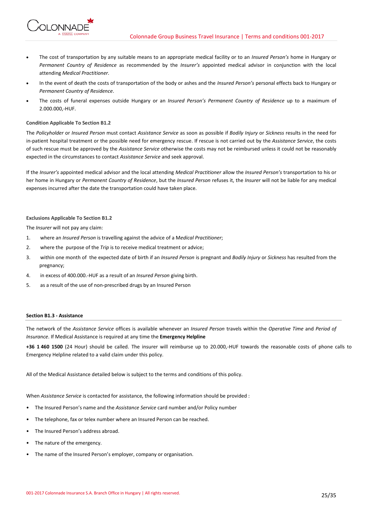- The cost of transportation by any suitable means to an appropriate medical facility or to an *Insured Person's* home in Hungary or *Permanent Country of Residence* as recommended by the *Insurer's* appointed medical advisor in conjunction with the local attending *Medical Practitioner.*
- In the event of death the costs of transportation of the body or ashes and the *Insured Person's* personal effects back to Hungary or *Permanent Country of Residence*.
- The costs of funeral expenses outside Hungary or an *Insured Person's Permanent Country of Residence* up to a maximum of 2.000.000,-HUF.

## **Condition Applicable To Section B1.2**

**IONNADI** 

The *Policyholder* or *Insured Person* must contact *Assistance Service* as soon as possible if *Bodily Injury* or *Sickness* results in the need for in-patient hospital treatment or the possible need for emergency rescue. If rescue is not carried out by the *Assistance Service*, the costs of such rescue must be approved by the *Assistance Service* otherwise the costs may not be reimbursed unless it could not be reasonably expected in the circumstances to contact *Assistance Service* and seek approval.

If the *Insurer's* appointed medical advisor and the local attending *Medical Practitioner* allow the *Insured Person's* transportation to his or her home in Hungary or *Permanent Country of Residence*, but the *Insured Person* refuses it, the *Insurer* will not be liable for any medical expenses incurred after the date the transportation could have taken place.

# **Exclusions Applicable To Section B1.2**

The *Insurer* will not pay any claim:

- 1. where an *Insured Person* is travelling against the advice of a M*edical Practitioner*;
- 2. where the purpose of the *Trip* is to receive medical treatment or advice;
- 3. within one month of the expected date of birth if an *Insured Person* is pregnant and *Bodily Injury* or *Sickness* has resulted from the pregnancy;
- 4. in excess of 400.000.-HUF as a result of an *Insured Person* giving birth.
- 5. as a result of the use of non-prescribed drugs by an Insured Person

## **Section B1.3 - Assistance**

The network of the *Assistance Service* offices is available whenever an *Insured Person* travels within the *Operative Time* and *Period of Insurance*. If Medical Assistance is required at any time the **Emergency Helpline**

**+36 1 460 1500** (24 Hour) should be called. The insurer will reimburse up to 20.000,-HUF towards the reasonable costs of phone calls to Emergency Helpline related to a valid claim under this policy.

All of the Medical Assistance detailed below is subject to the terms and conditions of this policy.

When *Assistance Service* is contacted for assistance, the following information should be provided :

- The Insured Person's name and the *Assistance Service* card number and/or Policy number
- The telephone, fax or telex number where an Insured Person can be reached.
- The Insured Person's address abroad.
- The nature of the emergency.
- The name of the Insured Person's employer, company or organisation.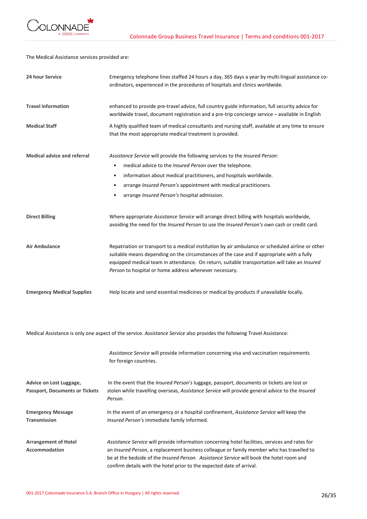

The Medical Assistance services provided are:

| 24 hour Service                                                  | Emergency telephone lines staffed 24 hours a day, 365 days a year by multi-lingual assistance co-<br>ordinators, experienced in the procedures of hospitals and clinics worldwide.                                                                                                                                                                                |
|------------------------------------------------------------------|-------------------------------------------------------------------------------------------------------------------------------------------------------------------------------------------------------------------------------------------------------------------------------------------------------------------------------------------------------------------|
| <b>Travel information</b>                                        | enhanced to provide pre-travel advice, full country guide information, full security advice for<br>worldwide travel, document registration and a pre-trip concierge service - available in English                                                                                                                                                                |
| <b>Medical Staff</b>                                             | A highly qualified team of medical consultants and nursing staff, available at any time to ensure<br>that the most appropriate medical treatment is provided.                                                                                                                                                                                                     |
| <b>Medical advice and referral</b>                               | Assistance Service will provide the following services to the Insured Person:                                                                                                                                                                                                                                                                                     |
|                                                                  | medical advice to the Insured Person over the telephone.                                                                                                                                                                                                                                                                                                          |
|                                                                  | information about medical practitioners, and hospitals worldwide.<br>$\bullet$                                                                                                                                                                                                                                                                                    |
|                                                                  | arrange Insured Person's appointment with medical practitioners.<br>$\bullet$                                                                                                                                                                                                                                                                                     |
|                                                                  | arrange Insured Person's hospital admission.                                                                                                                                                                                                                                                                                                                      |
| <b>Direct Billing</b>                                            | Where appropriate Assistance Service will arrange direct billing with hospitals worldwide,<br>avoiding the need for the Insured Person to use the Insured Person's own cash or credit card.                                                                                                                                                                       |
| <b>Air Ambulance</b>                                             | Repatriation or transport to a <i>medical institution</i> by air ambulance or scheduled airline or other<br>suitable means depending on the circumstances of the case and if appropriate with a fully<br>equipped medical team in attendance. On return, suitable transportation will take an Insured<br>Person to hospital or home address whenever necessary.   |
| <b>Emergency Medical Supplies</b>                                | Help locate and send essential medicines or medical by-products if unavailable locally.                                                                                                                                                                                                                                                                           |
|                                                                  | Medical Assistance is only one aspect of the service. Assistance Service also provides the following Travel Assistance:                                                                                                                                                                                                                                           |
|                                                                  | Assistance Service will provide information concerning visa and vaccination requirements<br>for foreign countries.                                                                                                                                                                                                                                                |
| Advice on Lost Luggage,<br><b>Passport, Documents or Tickets</b> | In the event that the Insured Person's luggage, passport, documents or tickets are lost or<br>stolen while travelling overseas, Assistance Service will provide general advice to the Insured<br>Person.                                                                                                                                                          |
| <b>Emergency Message</b><br><b>Transmission</b>                  | In the event of an emergency or a hospital confinement, Assistance Service will keep the<br>Insured Person's immediate family informed.                                                                                                                                                                                                                           |
| <b>Arrangement of Hotel</b><br>Accommodation                     | Assistance Service will provide information concerning hotel facilities, services and rates for<br>an Insured Person, a replacement business colleague or family member who has travelled to<br>be at the bedside of the Insured Person. Assistance Service will book the hotel room and<br>confirm details with the hotel prior to the expected date of arrival. |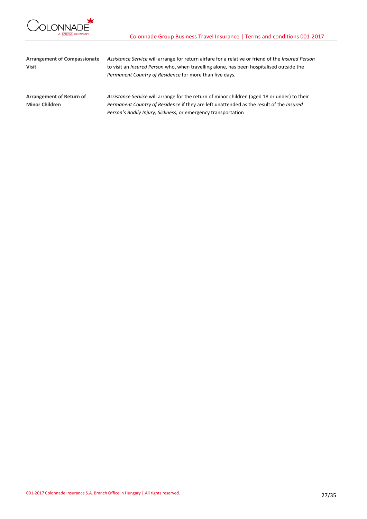

| <b>Arrangement of Compassionate</b> | Assistance Service will arrange for return airfare for a relative or friend of the <i>Insured Person</i> |  |  |
|-------------------------------------|----------------------------------------------------------------------------------------------------------|--|--|
| <b>Visit</b>                        | to visit an <i>Insured Person</i> who, when travelling alone, has been hospitalised outside the          |  |  |
|                                     | Permanent Country of Residence for more than five days.                                                  |  |  |
| Arrangement of Return of            | Assistance Service will arrange for the return of minor children (aged 18 or under) to their             |  |  |
| <b>Minor Children</b>               | Permanent Country of Residence if they are left unattended as the result of the Insured                  |  |  |
|                                     | Person's Bodily Injury, Sickness, or emergency transportation                                            |  |  |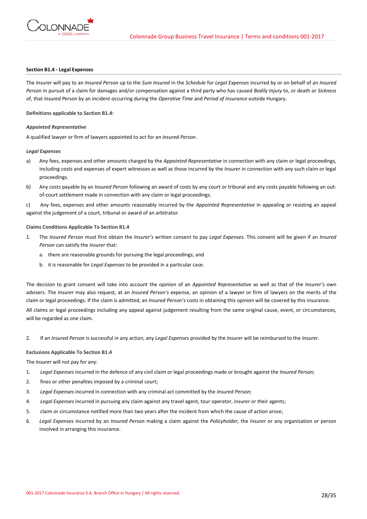

## **Section B1.4 - Legal Expenses**

The *Insurer* will pay to an *Insured Person* up to the *Sum Insured* in the *Schedule* for *Legal Expenses* incurred by or on behalf of an *Insured Person* in pursuit of a claim for damages and/or compensation against a third party who has caused *Bodily Injury* to, or death or *Sickness* of, that *Insured Person* by an incident occurring during the *Operative Time* and *Period of Insurance* outside Hungary.

**Definitions applicable to Section B1.4:**

## *Appointed Representative*

A qualified lawyer or firm of lawyers appointed to act for *an Insured Person*.

#### *Legal Expenses*

- a) Any fees, expenses and other amounts charged by the *Appointed Representative* in connection with any claim or legal proceedings, including costs and expenses of expert witnesses as well as those incurred by the *Insurer* in connection with any such claim or legal proceedings.
- b) Any costs payable by an *Insured Person* following an award of costs by any court or tribunal and any costs payable following an outof-court settlement made in connection with any claim or legal proceedings.

c) Any fees, expenses and other amounts reasonably incurred by the *Appointed Representative* in appealing or resisting an appeal against the judgement of a court, tribunal or award of an arbitrator.

## **Claims Conditions Applicable To Section B1.4**

- 1. The *Insured Person* must first obtain the *Insurer's* written consent to pay *Legal Expenses*. This consent will be given if an *Insured Person* can satisfy the *Insurer* that:
	- a. there are reasonable grounds for pursuing the legal proceedings; and
	- b. it is reasonable for *Legal Expenses* to be provided in a particular case.

The decision to grant consent will take into account the opinion of an *Appointed Representative* as well as that of the *Insurer's* own advisers. The *Insurer* may also request, at an *Insured Person's* expense, an opinion of a lawyer or firm of lawyers on the merits of the claim or legal proceedings. If the claim is admitted, an *Insured Person's* costs in obtaining this opinion will be covered by this insurance.

All claims or legal proceedings including any appeal against judgement resulting from the same original cause, event, or circumstances, will be regarded as one claim.

2. If an *Insured Person* is successful in any action, any *Legal Expenses* provided by the *Insurer* will be reimbursed to the *Insurer*.

#### **Exclusions Applicable To Section B1.4**

The *Insurer* will not pay for any:

- 1. *Legal Expenses* incurred in the defence of any civil claim or legal proceedings made or brought against the *Insured Person*;
- 2. fines or other penalties imposed by a criminal court;
- 3. *Legal Expenses* incurred in connection with any criminal act committed by the *Insured Person*;
- 4. *Legal Expenses* incurred in pursuing any claim against any travel agent, tour operator, insurer or their agents;
- 5. claim or circumstance notified more than two years after the incident from which the cause of action arose;
- 6. *Legal Expenses* incurred by an *Insured Person* making a claim against the *Policyholder,* the *Insurer* or any organisation or person involved in arranging this insurance.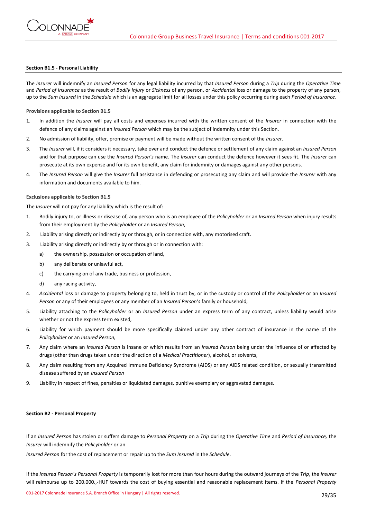

## **Section B1.5 - Personal Liability**

The *Insurer* will indemnify an *Insured Person* for any legal liability incurred by that *Insured Person* during a *Trip* during the *Operative Time*  and *Period of Insurance* as the result of *Bodily Injury* or *Sickness* of any person, or *Accidental* loss or damage to the property of any person, up to the *Sum Insured* in the *Schedule* which is an aggregate limit for all losses under this policy occurring during each *Period of Insurance*.

## **Provisions applicable to Section B1.5**

- 1. In addition the *Insurer* will pay all costs and expenses incurred with the written consent of the *Insurer* in connection with the defence of any claims against an *Insured Person* which may be the subject of indemnity under this Section.
- 2. No admission of liability, offer, promise or payment will be made without the written consent of the *Insurer*.
- 3. The *Insurer* will, if it considers it necessary, take over and conduct the defence or settlement of any claim against an *Insured Person* and for that purpose can use the *Insured Person's* name. The *Insurer* can conduct the defence however it sees fit. The *Insurer* can prosecute at its own expense and for its own benefit, any claim for indemnity or damages against any other persons.
- 4. The *Insured Person* will give the *Insurer* full assistance in defending or prosecuting any claim and will provide the *Insurer* with any information and documents available to him.

#### **Exclusions applicable to Section B1.5**

The *Insurer* will not pay for any liability which is the result of:

- 1. Bodily injury to, or illness or disease of, any person who is an employee of the *Policyholder* or an *Insured Person* when injury results from their employment by the *Policyholder* or an *Insured Person*,
- 2. Liability arising directly or indirectly by or through, or in connection with, any motorised craft.
- 3. Liability arising directly or indirectly by or through or in connection with:
	- a) the ownership, possession or occupation of land,
	- b) any deliberate or unlawful act,
	- c) the carrying on of any trade, business or profession,
	- d) any racing activity,
- 4. *Accidental* loss or damage to property belonging to, held in trust by, or in the custody or control of the *Policyholder* or an *Insured Person* or any of their employees or any member of an *Insured Person's* family or household,
- 5. Liability attaching to the *Policyholder* or an *Insured Person* under an express term of any contract, unless liability would arise whether or not the express term existed,
- 6. Liability for which payment should be more specifically claimed under any other contract of insurance in the name of the *Policyholder* or an *Insured Person,*
- 7. Any claim where an *Insured Person* is insane or which results from an *Insured Person* being under the influence of or affected by drugs (other than drugs taken under the direction of a *Medical Practitioner*), alcohol, or solvents,
- 8. Any claim resulting from any Acquired Immune Deficiency Syndrome (AIDS) or any AIDS related condition, or sexually transmitted disease suffered by an *Insured Person*
- 9. Liability in respect of fines, penalties or liquidated damages, punitive exemplary or aggravated damages.

#### **Section B2 - Personal Property**

If an *Insured Person* has stolen or suffers damage to *Personal Property* on a *Trip* during the *Operative Time* and *Period of Insurance,* the *Insurer* will indemnify the *Policyholder* or an

*Insured Person* for the cost of replacement or repair up to the *Sum Insured* in the *Schedule*.

If the *Insured Person's Personal Property* is temporarily lost for more than four hours during the outward journeys of the *Trip*, the *Insurer* will reimburse up to 200.000.,-HUF towards the cost of buying essential and reasonable replacement items. If the *Personal Property*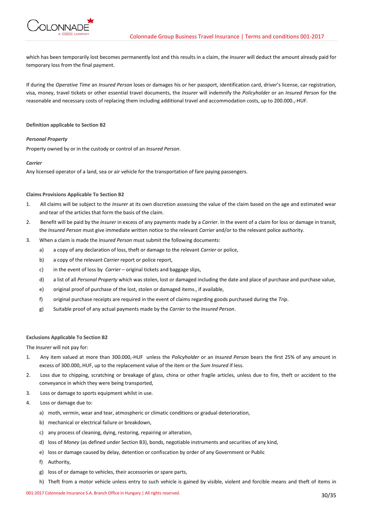

which has been temporarily lost becomes permanently lost and this results in a claim, the *Insurer* will deduct the amount already paid for temporary loss from the final payment.

If during the *Operative Time* an *Insured Person* loses or damages his or her passport, identification card, driver's license, car registration, visa, money, travel tickets or other essential travel documents, the *Insurer* will indemnify the *Policyholder* or an *Insured Person* for the reasonable and necessary costs of replacing them including additional travel and accommodation costs, up to 200.000.,-HUF.

## **Definition applicable to Section B2**

## *Personal Property*

Property owned by or in the custody or control of an *Insured Person*.

## *Carrier*

Any licensed operator of a land, sea or air vehicle for the transportation of fare paying passengers.

## **Claims Provisions Applicable To Section B2**

- 1. All claims will be subject to the *Insurer* at its own discretion assessing the value of the claim based on the age and estimated wear and tear of the articles that form the basis of the claim.
- 2. Benefit will be paid by the *Insurer* in excess of any payments made by a *Carrier*. In the event of a claim for loss or damage in transit, the *Insured Person* must give immediate written notice to the relevant *Carrier* and/or to the relevant police authority.
- 3. When a claim is made the *Insured Person* must submit the following documents:
	- a) a copy of any declaration of loss, theft or damage to the relevant *Carrier* or police,
	- b) a copy of the relevant *Carrier* report or police report,
	- c) in the event of loss by *Carrier*  original tickets and baggage slips,
	- d) a list of all *Personal Property* which was stolen, lost or damaged including the date and place of purchase and purchase value,
	- e) original proof of purchase of the lost, stolen or damaged items., if available,
	- f) original purchase receipts are required in the event of claims regarding goods purchased during the *Trip*.
	- g) Suitable proof of any actual payments made by the *Carrier* to the *Insured Person*.

#### **Exclusions Applicable To Section B2**

The *Insurer* will not pay for:

- 1. Any item valued at more than 300.000,-HUF unless the *Policyholder* or an *Insured Person* bears the first 25% of any amount in excess of 300.000,.HUF, up to the replacement value of the item or the *Sum Insured* if less.
- 2. Loss due to chipping, scratching or breakage of glass, china or other fragile articles, unless due to fire, theft or accident to the conveyance in which they were being transported,
- 3. Loss or damage to sports equipment whilst in use.
- 4. Loss or damage due to:
	- a) moth, vermin, wear and tear, atmospheric or climatic conditions or gradual deterioration,
	- b) mechanical or electrical failure or breakdown,
	- c) any process of cleaning, dying, restoring, repairing or alteration,
	- d) loss of *Money* (as defined under Section B3), bonds, negotiable instruments and securities of any kind,
	- e) loss or damage caused by delay, detention or confiscation by order of any Government or Public
	- f) Authority,
	- g) loss of or damage to vehicles, their accessories or spare parts,
	- h) Theft from a motor vehicle unless entry to such vehicle is gained by visible, violent and forcible means and theft of items in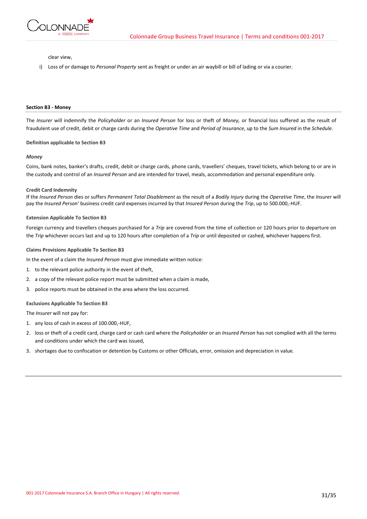

clear view,

i) Loss of or damage to *Personal Property* sent as freight or under an air waybill or bill of lading or via a courier.

#### **Section B3 - Money**

The *Insurer* will indemnify the *Policyholder* or an *Insured Person* for loss or theft of *Money,* or financial loss suffered as the result of fraudulent use of credit, debit or charge cards during the *Operative Time* and *Period of Insurance*, up to the *Sum Insured* in the *Schedule*.

#### **Definition applicable to Section B3**

#### *Money*

Coins, bank notes, banker's drafts, credit, debit or charge cards, phone cards, travellers' cheques, travel tickets, which belong to or are in the custody and control of an *Insured Person* and are intended for travel, meals, accommodation and personal expenditure only*.*

#### **Credit Card Indemnity**

If the *Insured Person* dies or suffers *Permanent Total Disablement* as the result of a *Bodily Injury* during the *Operative Time*, the *Insurer* will pay the *Insured Person*' business credit card expenses incurred by that *Insured Person* during the *Trip*, up to 500.000,-HUF.

#### **Extension Applicable To Section B3**

Foreign currency and travellers cheques purchased for a *Trip* are covered from the time of collection or 120 hours prior to departure on the *Trip* whichever occurs last and up to 120 hours after completion of a *Trip* or until deposited or cashed, whichever happens first.

#### **Claims Provisions Applicable To Section B3**

In the event of a claim the *Insured Person* must give immediate written notice:

- 1. to the relevant police authority in the event of theft,
- 2. a copy of the relevant police report must be submitted when a claim is made,
- 3. police reports must be obtained in the area where the loss occurred.

#### **Exclusions Applicable To Section B3**

The *Insurer* will not pay for:

- 1. any loss of cash in excess of 100.000,-HUF,
- 2. loss or theft of a credit card, charge card or cash card where the *Policyholder* or an *Insured Person* has not complied with all the terms and conditions under which the card was issued,
- 3. shortages due to confiscation or detention by Customs or other Officials, error, omission and depreciation in value.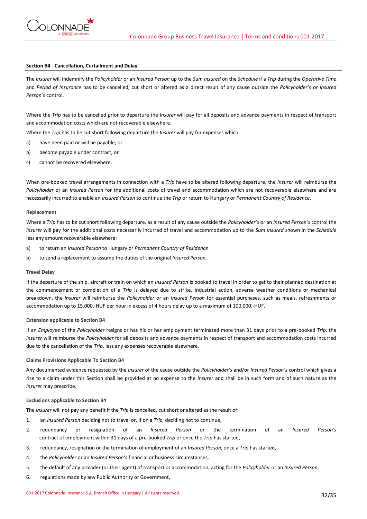

## **Section B4 - Cancellation, Curtailment and Delay**

The *Insurer* will indemnify the *Policyholder* or an *Insured Person* up to the *Sum Insured* on the *Schedule* if a *Trip* during the *Operative Time* and *Period of Insurance* has to be cancelled, cut short or altered as a direct result of any cause outside the *Policyholder's* or *Insured Person's* control.

Where the *Trip* has to be cancelled prior to departure the *Insurer* will pay for all deposits and advance payments in respect of transport and accommodation costs which are not recoverable elsewhere.

Where the *Trip* has to be cut short following departure the *Insurer* will pay for expenses which:

- a) have been paid or will be payable, or
- b) become payable under contract, or
- c) cannot be recovered elsewhere.

When pre-booked travel arrangements in connection with a *Trip* have to be altered following departure, the *Insurer* will reimburse the *Policyholder* or an *Insured Person* for the additional costs of travel and accommodation which are not recoverable elsewhere and are necessarily incurred to enable an *Insured Person* to continue the *Trip* or return to Hungary or *Permanent Country of Residence*.

#### **Replacement**

Where a *Trip* has to be cut short following departure, as a result of any cause outside the *Policyholder's* or an *Insured Person's* control the *Insurer* will pay for the additional costs necessarily incurred of travel and accommodation up to the *Sum Insured* shown in the *Schedule* less any amount recoverable elsewhere:

- a) to return an *Insured Person* to Hungary or *Permanent Country of Residence*
- b) to send a replacement to assume the duties of the original *Insured Person*.

#### **Travel Delay**

If the departure of the ship, aircraft or train on which an *Insured Person* is booked to travel in order to get to their planned destination at the commencement or completion of a *Trip* is delayed due to strike, industrial action, adverse weather conditions or mechanical breakdown, the *Insurer* will reimburse the *Policyholder* or an *Insured Person* for essential purchases, such as meals, refreshments or accommodation up to 15.000,-HUF per hour in excess of 4 hours delay up to a maximum of 100.000,-HUF.

# **Extension applicable to Section B4**

If an *Employee* of the *Policyholder* resigns or has his or her employment terminated more than 31 days prior to a pre-booked *Trip*, the *Insurer* will reimburse the *Policyholder* for all deposits and advance payments in respect of transport and accommodation costs incurred due to the cancellation of the *Trip*, less any expenses recoverable elsewhere.

## **Claims Provisions Applicable To Section B4**

Any documented evidence requested by the *Insurer* of the cause outside the *Policyholder's* and/or *Insured Person's* control which gives a rise to a claim under this Section shall be provided at no expense to the *Insurer* and shall be in such form and of such nature as the *Insurer* may prescribe.

#### **Exclusions applicable to Section B4**

The *Insurer* will not pay any benefit if the *Trip* is cancelled, cut short or altered as the result of:

- 1. an *Insured Person* deciding not to travel or, if on a *Trip,* deciding not to continue,
- 2. redundancy or resignation of an *Insured Person* or the termination of an *Insured Person's* contract of employment within 31 days of a pre-booked *Trip* or once the *Trip* has started,
- 3. redundancy, resignation or the termination of employment of an *Insured Person*, once a *Trip* has started,
- 4. the *Policyholder* or an *Insured Person's* financial or business circumstances,
- 5. the default of any provider (or their agent) of transport or accommodation, acting for the *Policyholder* or an *Insured Person*,
- 6. regulations made by any Public Authority or Government,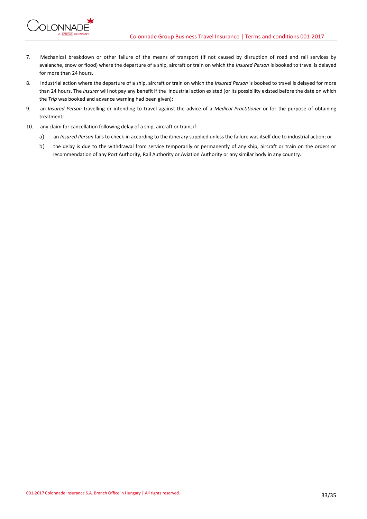

- 7. Mechanical breakdown or other failure of the means of transport (if not caused by disruption of road and rail services by avalanche, snow or flood) where the departure of a ship, aircraft or train on which the *Insured Person* is booked to travel is delayed for more than 24 hours.
- 8. Industrial action where the departure of a ship, aircraft or train on which the *Insured Person* is booked to travel is delayed for more than 24 hours. The *Insurer* will not pay any benefit if the industrial action existed (or its possibility existed before the date on which the *Trip* was booked and advance warning had been given);
- 9. an *Insured Person* travelling or intending to travel against the advice of a *Medical Practitioner* or for the purpose of obtaining treatment;
- 10. any claim for cancellation following delay of a ship, aircraft or train, if:
	- a) an *Insured Person* fails to check-in according to the itinerary supplied unless the failure was itself due to industrial action; or
	- b) the delay is due to the withdrawal from service temporarily or permanently of any ship, aircraft or train on the orders or recommendation of any Port Authority, Rail Authority or Aviation Authority or any similar body in any country.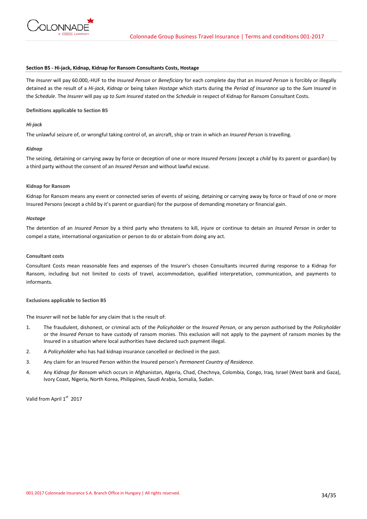

#### **Section B5 - Hi-jack, Kidnap, Kidnap for Ransom Consultants Costs, Hostage**

The *Insurer* will pay 60.000,-HUF to the *Insured Person* or *Beneficiary* for each complete day that an *Insured Person* is forcibly or illegally detained as the result of a *Hi-jack*, *Kidnap* or being taken *Hostage* which starts during the *Period of Insurance* up to the *Sum Insured* in the *Schedule*. The *Insurer* will pay up *to Sum Insured* stated on the *Schedule* in respect of Kidnap for Ransom Consultant Costs.

## **Definitions applicable to Section B5**

## *Hi-jack*

The unlawful seizure of, or wrongful taking control of, an aircraft, ship or train in which an *Insured Person* is travelling.

# *Kidnap*

The seizing, detaining or carrying away by force or deception of one or more *Insured Persons* (except a *child* by its parent or guardian) by a third party without the consent of an *Insured Person* and without lawful excuse.

## **Kidnap for Ransom**

Kidnap for Ransom means any event or connected series of events of seizing, detaining or carrying away by force or fraud of one or more Insured Persons (except a child by it's parent or guardian) for the purpose of demanding monetary or financial gain.

## *Hostage*

The detention of an *Insured Person* by a third party who threatens to kill, injure or continue to detain an *Insured Person* in order to compel a state, international organization or person to do or abstain from doing any act.

## **Consultant costs**

Consultant Costs mean reasonable fees and expenses of the Insurer's chosen Consultants incurred during response to a Kidnap for Ransom, including but not limited to costs of travel, accommodation, qualified interpretation, communication, and payments to informants.

# **Exclusions applicable to Section B5**

The *Insurer* will not be liable for any claim that is the result of:

- 1. The fraudulent, dishonest, or criminal acts of the *Policyholder* or the *Insured Person*, or any person authorised by the *Policyholder* or the *Insured Person* to have custody of ransom monies. This exclusion will not apply to the payment of ransom monies by the Insured in a situation where local authorities have declared such payment illegal.
- 2. A *Policyholder* who has had kidnap insurance cancelled or declined in the past.
- 3. Any claim for an Insured Person within the Insured person's *Permanent Country of Residence.*
- 4. Any *Kidnap for Ransom* which occurs in Afghanistan, Algeria, Chad, Chechnya, Colombia, Congo, Iraq, Israel (West bank and Gaza), Ivory Coast, Nigeria, North Korea, Philippines, Saudi Arabia, Somalia, Sudan.

Valid from April 1<sup>st</sup> 2017